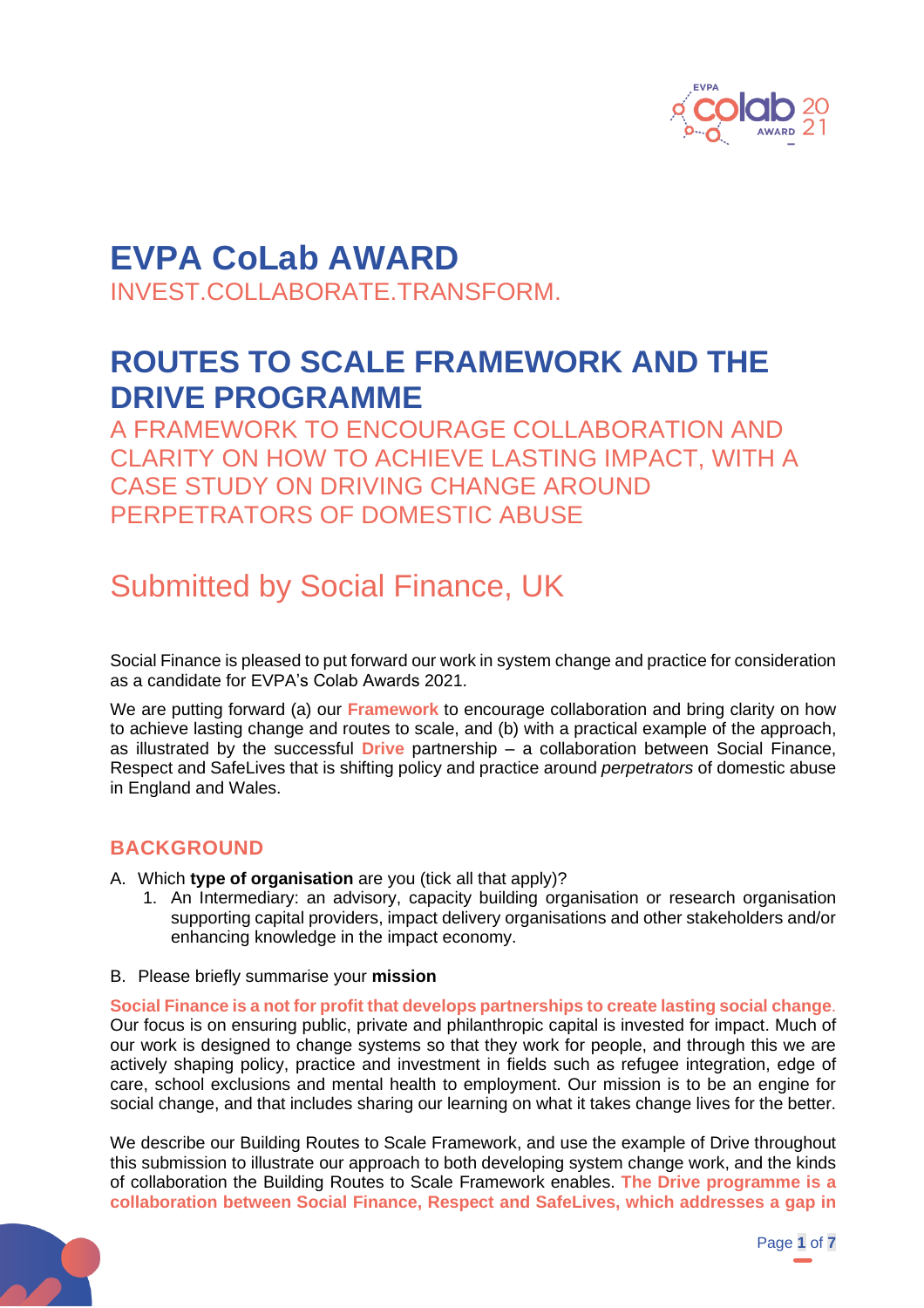

# **EVPA CoLab AWARD**

INVEST.COLLABORATE.TRANSFORM.

## **ROUTES TO SCALE FRAMEWORK AND THE DRIVE PROGRAMME**

A FRAMEWORK TO ENCOURAGE COLLABORATION AND CLARITY ON HOW TO ACHIEVE LASTING IMPACT, WITH A CASE STUDY ON DRIVING CHANGE AROUND PERPETRATORS OF DOMESTIC ABUSE

## Submitted by Social Finance, UK

Social Finance is pleased to put forward our work in system change and practice for consideration as a candidate for EVPA's Colab Awards 2021.

We are putting forward (a) our **Framework** to encourage collaboration and bring clarity on how to achieve lasting change and routes to scale, and (b) with a practical example of the approach, as illustrated by the successful **Drive** partnership – a collaboration between Social Finance, Respect and SafeLives that is shifting policy and practice around *perpetrators* of domestic abuse in England and Wales.

## **BACKGROUND**

- A. Which **type of organisation** are you (tick all that apply)?
	- 1. An Intermediary: an advisory, capacity building organisation or research organisation supporting capital providers, impact delivery organisations and other stakeholders and/or enhancing knowledge in the impact economy.
- B. Please briefly summarise your **mission**

**Social Finance is a not for profit that develops partnerships to create lasting social change**. Our focus is on ensuring public, private and philanthropic capital is invested for impact. Much of our work is designed to change systems so that they work for people, and through this we are actively shaping policy, practice and investment in fields such as refugee integration, edge of care, school exclusions and mental health to employment. Our mission is to be an engine for social change, and that includes sharing our learning on what it takes change lives for the better.

We describe our Building Routes to Scale Framework, and use the example of Drive throughout this submission to illustrate our approach to both developing system change work, and the kinds of collaboration the Building Routes to Scale Framework enables. **The Drive programme is a collaboration between Social Finance, Respect and SafeLives, which addresses a gap in** 

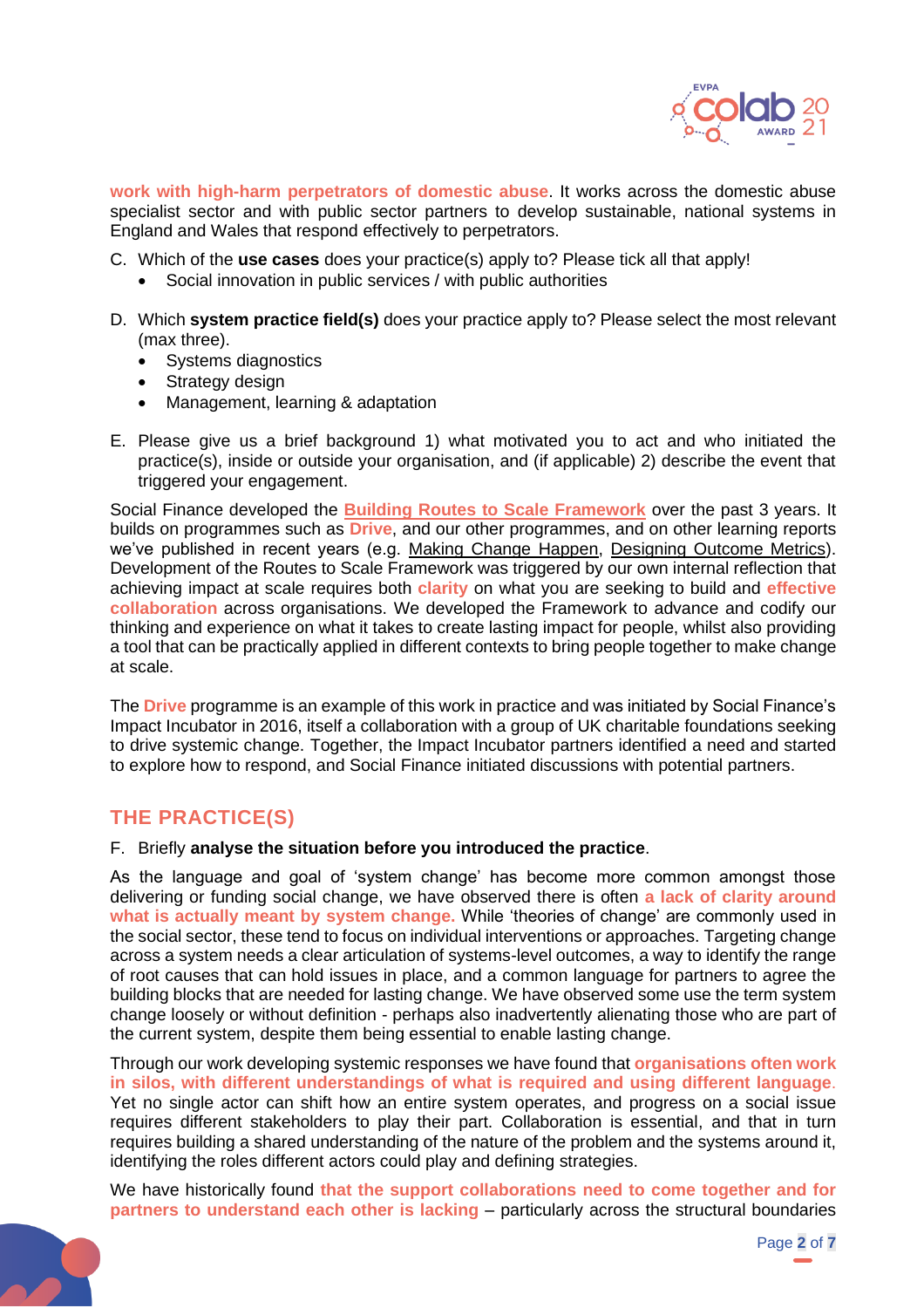

**work with high-harm perpetrators of domestic abuse**. It works across the domestic abuse specialist sector and with public sector partners to develop sustainable, national systems in England and Wales that respond effectively to perpetrators.

- C. Which of the **use cases** does your practice(s) apply to? Please tick all that apply!
	- Social innovation in public services / with public authorities
- D. Which **system practice field(s)** does your practice apply to? Please select the most relevant (max three).
	- Systems diagnostics
	- Strategy design
	- Management, learning & adaptation
- E. Please give us a brief background 1) what motivated you to act and who initiated the practice(s), inside or outside your organisation, and (if applicable) 2) describe the event that triggered your engagement.

Social Finance developed the **[Building Routes to Scale Framework](https://www.socialfinance.org.uk/resources/publications/changing-lives-changing-systems-building-routes-scale)** over the past 3 years. It builds on programmes such as **Drive**, and our other programmes, and on other learning reports we've published in recent years (e.g. [Making Change Happen,](https://www.socialfinance.org.uk/resources/publications/making-change-happen-emerging-approach-planning-impact) [Designing Outcome Metrics\)](https://www.socialfinance.org.uk/resources/publications/technical-guide-designing-outcome-metrics). Development of the Routes to Scale Framework was triggered by our own internal reflection that achieving impact at scale requires both **clarity** on what you are seeking to build and **effective collaboration** across organisations. We developed the Framework to advance and codify our thinking and experience on what it takes to create lasting impact for people, whilst also providing a tool that can be practically applied in different contexts to bring people together to make change at scale.

The **Drive** programme is an example of this work in practice and was initiated by Social Finance's Impact Incubator in 2016, itself a collaboration with a group of UK charitable foundations seeking to drive systemic change. Together, the Impact Incubator partners identified a need and started to explore how to respond, and Social Finance initiated discussions with potential partners.

### **THE PRACTICE(S)**

F. Briefly **analyse the situation before you introduced the practice**.

As the language and goal of 'system change' has become more common amongst those delivering or funding social change, we have observed there is often **a lack of clarity around what is actually meant by system change.** While 'theories of change' are commonly used in the social sector, these tend to focus on individual interventions or approaches. Targeting change across a system needs a clear articulation of systems-level outcomes, a way to identify the range of root causes that can hold issues in place, and a common language for partners to agree the building blocks that are needed for lasting change. We have observed some use the term system change loosely or without definition - perhaps also inadvertently alienating those who are part of the current system, despite them being essential to enable lasting change.

Through our work developing systemic responses we have found that **organisations often work in silos, with different understandings of what is required and using different language**. Yet no single actor can shift how an entire system operates, and progress on a social issue requires different stakeholders to play their part. Collaboration is essential, and that in turn requires building a shared understanding of the nature of the problem and the systems around it, identifying the roles different actors could play and defining strategies.

We have historically found **that the support collaborations need to come together and for partners to understand each other is lacking** – particularly across the structural boundaries

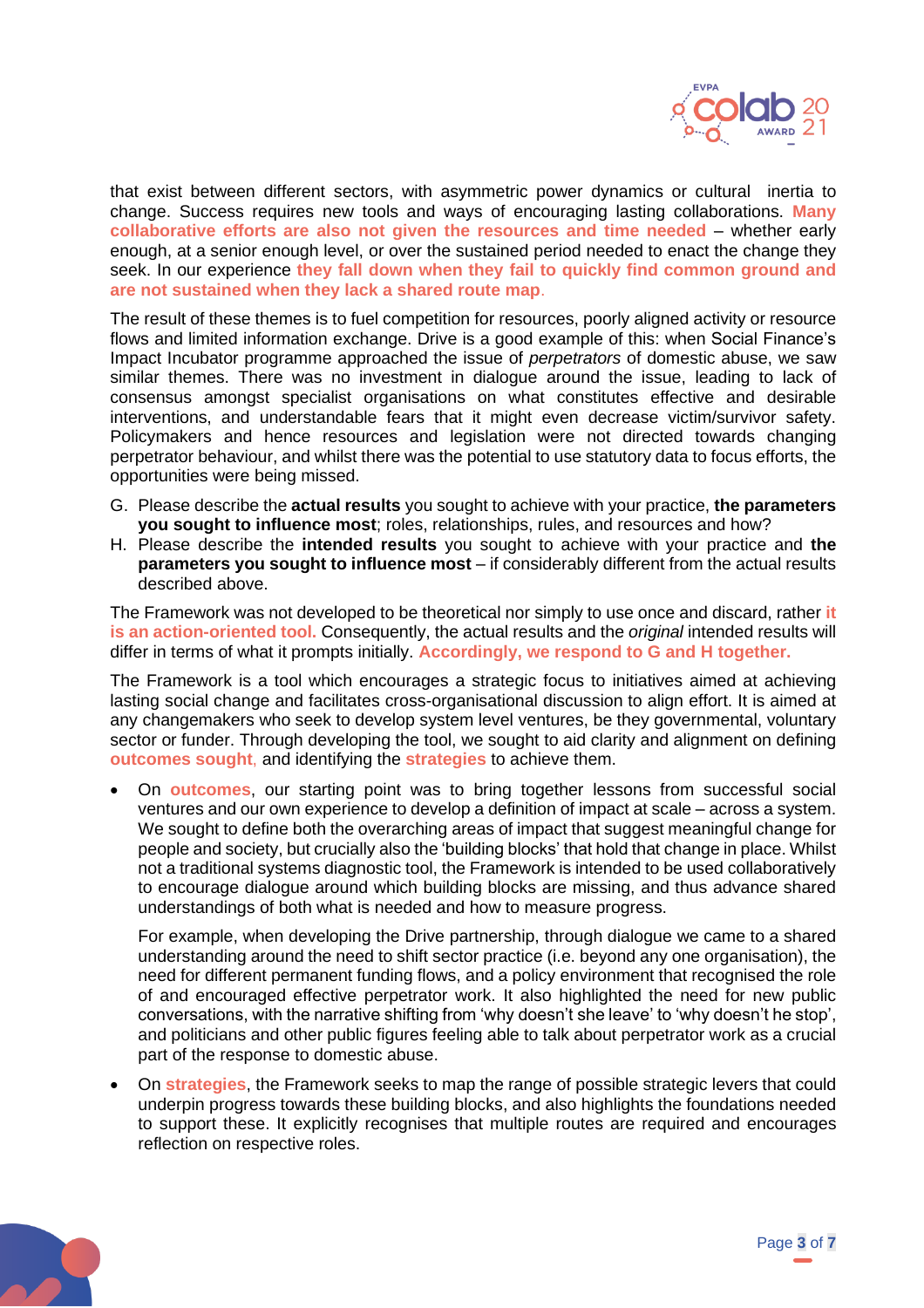

that exist between different sectors, with asymmetric power dynamics or cultural inertia to change. Success requires new tools and ways of encouraging lasting collaborations. **Many collaborative efforts are also not given the resources and time needed** – whether early enough, at a senior enough level, or over the sustained period needed to enact the change they seek. In our experience **they fall down when they fail to quickly find common ground and are not sustained when they lack a shared route map**.

The result of these themes is to fuel competition for resources, poorly aligned activity or resource flows and limited information exchange. Drive is a good example of this: when Social Finance's Impact Incubator programme approached the issue of *perpetrators* of domestic abuse, we saw similar themes. There was no investment in dialogue around the issue, leading to lack of consensus amongst specialist organisations on what constitutes effective and desirable interventions, and understandable fears that it might even decrease victim/survivor safety. Policymakers and hence resources and legislation were not directed towards changing perpetrator behaviour, and whilst there was the potential to use statutory data to focus efforts, the opportunities were being missed.

- G. Please describe the **actual results** you sought to achieve with your practice, **the parameters you sought to influence most**; roles, relationships, rules, and resources and how?
- H. Please describe the **intended results** you sought to achieve with your practice and **the parameters you sought to influence most** – if considerably different from the actual results described above.

The Framework was not developed to be theoretical nor simply to use once and discard, rather **it is an action-oriented tool.** Consequently, the actual results and the *original* intended results will differ in terms of what it prompts initially. **Accordingly, we respond to G and H together.**

The Framework is a tool which encourages a strategic focus to initiatives aimed at achieving lasting social change and facilitates cross-organisational discussion to align effort. It is aimed at any changemakers who seek to develop system level ventures, be they governmental, voluntary sector or funder. Through developing the tool, we sought to aid clarity and alignment on defining **outcomes sought**, and identifying the **strategies** to achieve them.

• On **outcomes**, our starting point was to bring together lessons from successful social ventures and our own experience to develop a definition of impact at scale – across a system. We sought to define both the overarching areas of impact that suggest meaningful change for people and society, but crucially also the 'building blocks' that hold that change in place. Whilst not a traditional systems diagnostic tool, the Framework is intended to be used collaboratively to encourage dialogue around which building blocks are missing, and thus advance shared understandings of both what is needed and how to measure progress.

For example, when developing the Drive partnership, through dialogue we came to a shared understanding around the need to shift sector practice (i.e. beyond any one organisation), the need for different permanent funding flows, and a policy environment that recognised the role of and encouraged effective perpetrator work. It also highlighted the need for new public conversations, with the narrative shifting from 'why doesn't she leave' to 'why doesn't he stop', and politicians and other public figures feeling able to talk about perpetrator work as a crucial part of the response to domestic abuse.

• On **strategies**, the Framework seeks to map the range of possible strategic levers that could underpin progress towards these building blocks, and also highlights the foundations needed to support these. It explicitly recognises that multiple routes are required and encourages reflection on respective roles.

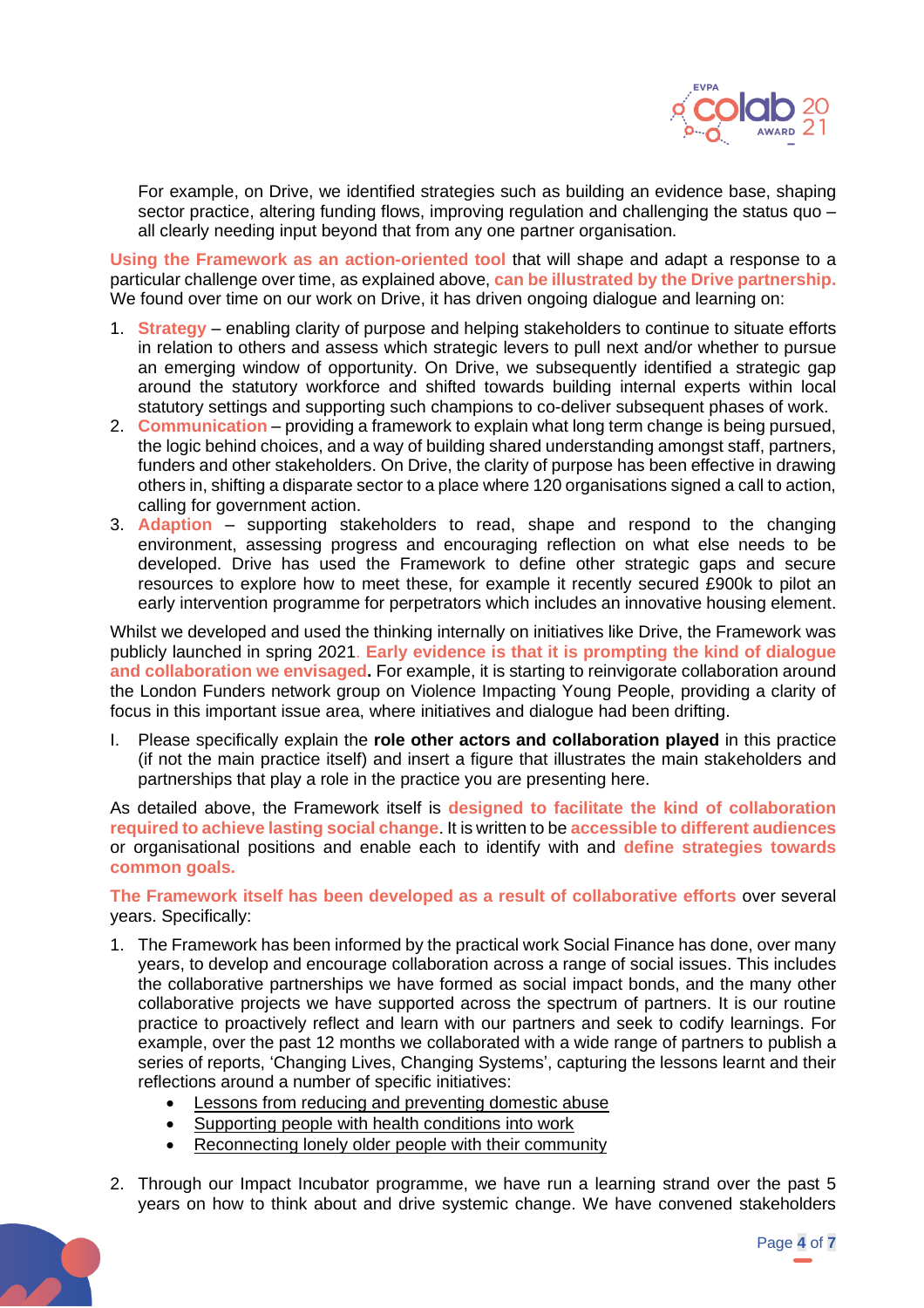

For example, on Drive, we identified strategies such as building an evidence base, shaping sector practice, altering funding flows, improving regulation and challenging the status quo – all clearly needing input beyond that from any one partner organisation.

**Using the Framework as an action-oriented tool** that will shape and adapt a response to a particular challenge over time, as explained above, **can be illustrated by the Drive partnership.**  We found over time on our work on Drive, it has driven ongoing dialogue and learning on:

- 1. **Strategy**  enabling clarity of purpose and helping stakeholders to continue to situate efforts in relation to others and assess which strategic levers to pull next and/or whether to pursue an emerging window of opportunity. On Drive, we subsequently identified a strategic gap around the statutory workforce and shifted towards building internal experts within local statutory settings and supporting such champions to co-deliver subsequent phases of work.
- 2. **Communication** providing a framework to explain what long term change is being pursued, the logic behind choices, and a way of building shared understanding amongst staff, partners, funders and other stakeholders. On Drive, the clarity of purpose has been effective in drawing others in, shifting a disparate sector to a place where 120 organisations signed a call to action, calling for government action.
- 3. **Adaption**  supporting stakeholders to read, shape and respond to the changing environment, assessing progress and encouraging reflection on what else needs to be developed. Drive has used the Framework to define other strategic gaps and secure resources to explore how to meet these, for example it recently secured £900k to pilot an early intervention programme for perpetrators which includes an innovative housing element.

Whilst we developed and used the thinking internally on initiatives like Drive, the Framework was publicly launched in spring 2021. **Early evidence is that it is prompting the kind of dialogue and collaboration we envisaged.** For example, it is starting to reinvigorate collaboration around the London Funders network group on Violence Impacting Young People, providing a clarity of focus in this important issue area, where initiatives and dialogue had been drifting.

I. Please specifically explain the **role other actors and collaboration played** in this practice (if not the main practice itself) and insert a figure that illustrates the main stakeholders and partnerships that play a role in the practice you are presenting here.

As detailed above, the Framework itself is **designed to facilitate the kind of collaboration required to achieve lasting social change**. It is written to be **accessible to different audiences** or organisational positions and enable each to identify with and **define strategies towards common goals.** 

**The Framework itself has been developed as a result of collaborative efforts** over several years. Specifically:

- 1. The Framework has been informed by the practical work Social Finance has done, over many years, to develop and encourage collaboration across a range of social issues. This includes the collaborative partnerships we have formed as social impact bonds, and the many other collaborative projects we have supported across the spectrum of partners. It is our routine practice to proactively reflect and learn with our partners and seek to codify learnings. For example, over the past 12 months we collaborated with a wide range of partners to publish a series of reports, 'Changing Lives, Changing Systems', capturing the lessons learnt and their reflections around a number of specific initiatives:
	- [Lessons from reducing and preventing domestic abuse](https://www.socialfinance.org.uk/resources/publications/changing-lives-changing-systems-lessons-reducing-and-preventing-domestic)
	- [Supporting people with health conditions into work](https://www.socialfinance.org.uk/resources/publications/changing-lives-changing-systems-supporting-people-health-conditions-paid-work)
	- [Reconnecting lonely older people with their community](https://www.socialfinance.org.uk/resources/publications/changing-lives-changing-systems-reconnecting-lonely-older-people-their)
- 2. Through our Impact Incubator programme, we have run a learning strand over the past 5 years on how to think about and drive systemic change. We have convened stakeholders

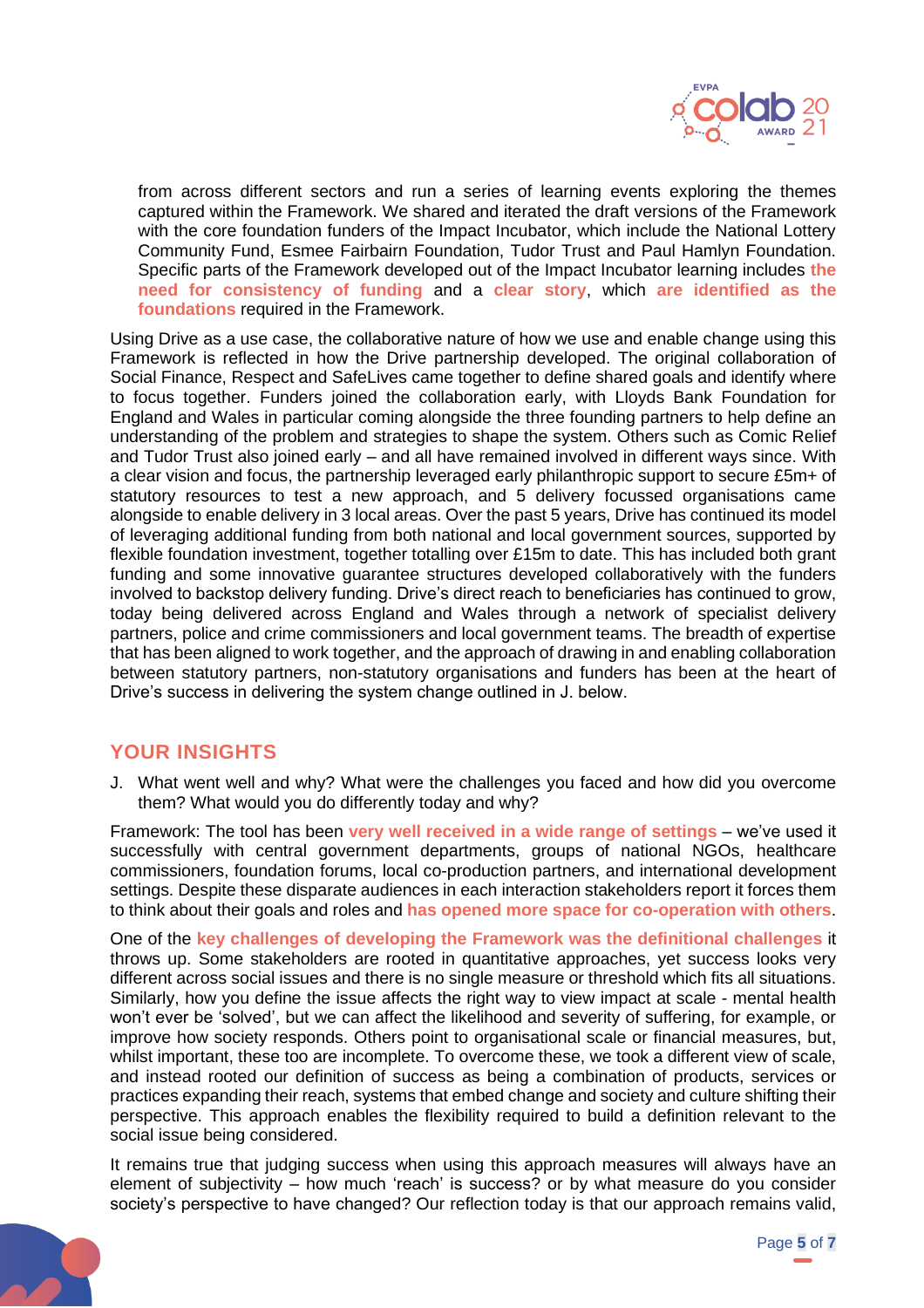

from across different sectors and run a series of learning events exploring the themes captured within the Framework. We shared and iterated the draft versions of the Framework with the core foundation funders of the Impact Incubator, which include the National Lottery Community Fund, Esmee Fairbairn Foundation, Tudor Trust and Paul Hamlyn Foundation. Specific parts of the Framework developed out of the Impact Incubator learning includes **the need for consistency of funding** and a **clear story**, which **are identified as the foundations** required in the Framework.

Using Drive as a use case, the collaborative nature of how we use and enable change using this Framework is reflected in how the Drive partnership developed. The original collaboration of Social Finance, Respect and SafeLives came together to define shared goals and identify where to focus together. Funders joined the collaboration early, with Lloyds Bank Foundation for England and Wales in particular coming alongside the three founding partners to help define an understanding of the problem and strategies to shape the system. Others such as Comic Relief and Tudor Trust also joined early – and all have remained involved in different ways since. With a clear vision and focus, the partnership leveraged early philanthropic support to secure £5m+ of statutory resources to test a new approach, and 5 delivery focussed organisations came alongside to enable delivery in 3 local areas. Over the past 5 years, Drive has continued its model of leveraging additional funding from both national and local government sources, supported by flexible foundation investment, together totalling over £15m to date. This has included both grant funding and some innovative guarantee structures developed collaboratively with the funders involved to backstop delivery funding. Drive's direct reach to beneficiaries has continued to grow, today being delivered across England and Wales through a network of specialist delivery partners, police and crime commissioners and local government teams. The breadth of expertise that has been aligned to work together, and the approach of drawing in and enabling collaboration between statutory partners, non-statutory organisations and funders has been at the heart of Drive's success in delivering the system change outlined in J. below.

### **YOUR INSIGHTS**

J. What went well and why? What were the challenges you faced and how did you overcome them? What would you do differently today and why?

Framework: The tool has been **very well received in a wide range of settings** – we've used it successfully with central government departments, groups of national NGOs, healthcare commissioners, foundation forums, local co-production partners, and international development settings. Despite these disparate audiences in each interaction stakeholders report it forces them to think about their goals and roles and **has opened more space for co-operation with others**.

One of the **key challenges of developing the Framework was the definitional challenges** it throws up. Some stakeholders are rooted in quantitative approaches, yet success looks very different across social issues and there is no single measure or threshold which fits all situations. Similarly, how you define the issue affects the right way to view impact at scale - mental health won't ever be 'solved', but we can affect the likelihood and severity of suffering, for example, or improve how society responds. Others point to organisational scale or financial measures, but, whilst important, these too are incomplete. To overcome these, we took a different view of scale, and instead rooted our definition of success as being a combination of products, services or practices expanding their reach, systems that embed change and society and culture shifting their perspective. This approach enables the flexibility required to build a definition relevant to the social issue being considered.

It remains true that judging success when using this approach measures will always have an element of subjectivity – how much 'reach' is success? or by what measure do you consider society's perspective to have changed? Our reflection today is that our approach remains valid,

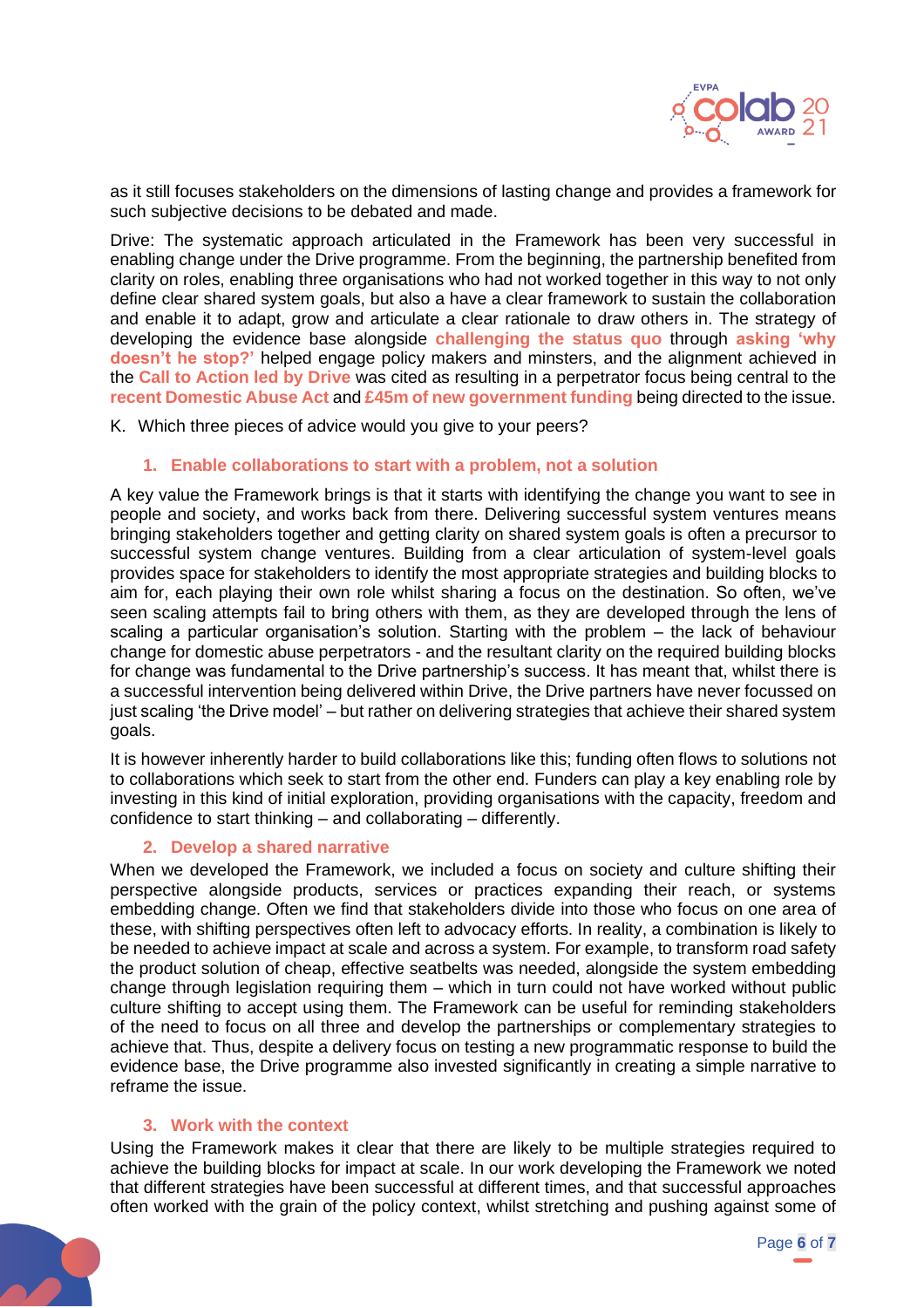

as it still focuses stakeholders on the dimensions of lasting change and provides a framework for such subjective decisions to be debated and made.

Drive: The systematic approach articulated in the Framework has been very successful in enabling change under the Drive programme. From the beginning, the partnership benefited from clarity on roles, enabling three organisations who had not worked together in this way to not only define clear shared system goals, but also a have a clear framework to sustain the collaboration and enable it to adapt, grow and articulate a clear rationale to draw others in. The strategy of developing the evidence base alongside **challenging the status quo** through **asking 'why doesn't he stop?'** helped engage policy makers and minsters, and the alignment achieved in the **Call to Action led by Drive** was cited as resulting in a perpetrator focus being central to the **recent Domestic Abuse Act** and **£45m of new government funding** being directed to the issue.

K. Which three pieces of advice would you give to your peers?

#### **1. Enable collaborations to start with a problem, not a solution**

A key value the Framework brings is that it starts with identifying the change you want to see in people and society, and works back from there. Delivering successful system ventures means bringing stakeholders together and getting clarity on shared system goals is often a precursor to successful system change ventures. Building from a clear articulation of system-level goals provides space for stakeholders to identify the most appropriate strategies and building blocks to aim for, each playing their own role whilst sharing a focus on the destination. So often, we've seen scaling attempts fail to bring others with them, as they are developed through the lens of scaling a particular organisation's solution. Starting with the problem – the lack of behaviour change for domestic abuse perpetrators - and the resultant clarity on the required building blocks for change was fundamental to the Drive partnership's success. It has meant that, whilst there is a successful intervention being delivered within Drive, the Drive partners have never focussed on just scaling 'the Drive model' – but rather on delivering strategies that achieve their shared system goals.

It is however inherently harder to build collaborations like this; funding often flows to solutions not to collaborations which seek to start from the other end. Funders can play a key enabling role by investing in this kind of initial exploration, providing organisations with the capacity, freedom and confidence to start thinking – and collaborating – differently.

#### **2. Develop a shared narrative**

When we developed the Framework, we included a focus on society and culture shifting their perspective alongside products, services or practices expanding their reach, or systems embedding change. Often we find that stakeholders divide into those who focus on one area of these, with shifting perspectives often left to advocacy efforts. In reality, a combination is likely to be needed to achieve impact at scale and across a system. For example, to transform road safety the product solution of cheap, effective seatbelts was needed, alongside the system embedding change through legislation requiring them – which in turn could not have worked without public culture shifting to accept using them. The Framework can be useful for reminding stakeholders of the need to focus on all three and develop the partnerships or complementary strategies to achieve that. Thus, despite a delivery focus on testing a new programmatic response to build the evidence base, the Drive programme also invested significantly in creating a simple narrative to reframe the issue.

#### **3. Work with the context**

Using the Framework makes it clear that there are likely to be multiple strategies required to achieve the building blocks for impact at scale. In our work developing the Framework we noted that different strategies have been successful at different times, and that successful approaches often worked with the grain of the policy context, whilst stretching and pushing against some of